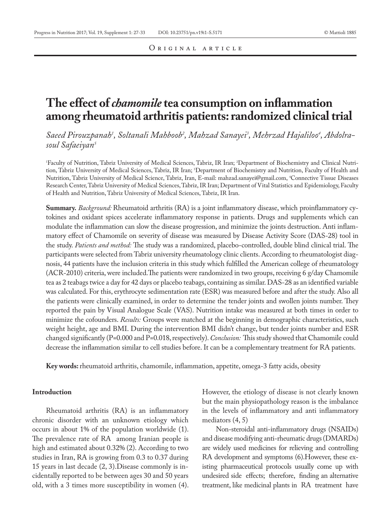# **The effect of** *chamomile* **tea consumption on inflammation among rheumatoid arthritis patients: randomized clinical trial**

*Saeed Pirouzpanah1 , Soltanali Mahboob2 , Mahzad Sanayei3 , Mehrzad Hajaliloo4 , Abdolrasoul Safaeiyan5*

1 Faculty of Nutrition, Tabriz University of Medical Sciences, Tabriz, IR Iran; 2 Department of Biochemistry and Clinical Nutrition, Tabriz University of Medical Sciences, Tabriz, IR Iran; 3 Department of Biochemistry and Nutrition, Faculty of Health and Nutrition, Tabriz University of Medical Science, Tabriz, Iran, E-mail: mahzad.sanayei@gmail.com, 4 Connective Tissue Diseases Research Center, Tabriz University of Medical Sciences, Tabriz, IR Iran; Department of Vital Statistics and Epidemiology, Faculty of Health and Nutrition, Tabriz University of Medical Sciences, Tabriz, IR Iran.

**Summary.** *Background:* Rheumatoid arthritis (RA) is a joint inflammatory disease, which proinflammatory cytokines and oxidant spices accelerate inflammatory response in patients. Drugs and supplements which can modulate the inflammation can slow the disease progression, and minimize the joints destruction. Anti inflammatory effect of Chamomile on severity of disease was measured by Disease Activity Score (DAS-28) tool in the study. *Patients and method:* The study was a randomized, placebo-controlled, double blind clinical trial. The participants were selected from Tabriz university rheumatology clinic clients. According to rheumatologist diagnosis, 44 patients have the inclusion criteria in this study which fulfilled the American college of rheumatology (ACR-2010) criteria, were included.The patients were randomized in two groups, receiving 6 g/day Chamomile tea as 2 teabags twice a day for 42 days or placebo teabags, containing as similar. DAS-28 as an identified variable was calculated. For this, erythrocyte sedimentation rate (ESR) was measured before and after the study. Also all the patients were clinically examined, in order to determine the tender joints and swollen joints number. They reported the pain by Visual Analogue Scale (VAS). Nutrition intake was measured at both times in order to minimize the cofounders. *Results:* Groups were matched at the beginning in demographic characteristics, such weight height, age and BMI. During the intervention BMI didn't change, but tender joints number and ESR changed significantly (P=0.000 and P=0.018, respectively). *Conclusion:* This study showed that Chamomile could decrease the inflammation similar to cell studies before. It can be a complementary treatment for RA patients.

**Key words:** rheumatoid arthritis, chamomile, inflammation, appetite, omega-3 fatty acids, obesity

# **Introduction**

Rheumatoid arthritis (RA) is an inflammatory chronic disorder with an unknown etiology which occurs in about 1% of the population worldwide (1). The prevalence rate of RA among Iranian people is high and estimated about 0.32% (2). According to two studies in Iran, RA is growing from 0.3 to 0.37 during 15 years in last decade (2, 3).Disease commonly is incidentally reported to be between ages 30 and 50 years old, with a 3 times more susceptibility in women (4).

However, the etiology of disease is not clearly known but the main physiopathology reason is the imbalance in the levels of inflammatory and anti inflammatory mediators (4, 5)

Non-steroidal anti-inflammatory drugs (NSAIDs) and disease modifying anti-rheumatic drugs (DMARDs) are widely used medicines for relieving and controlling RA development and symptoms (6).However, these existing pharmaceutical protocols usually come up with undesired side effects; therefore, finding an alternative treatment, like medicinal plants in RA treatment have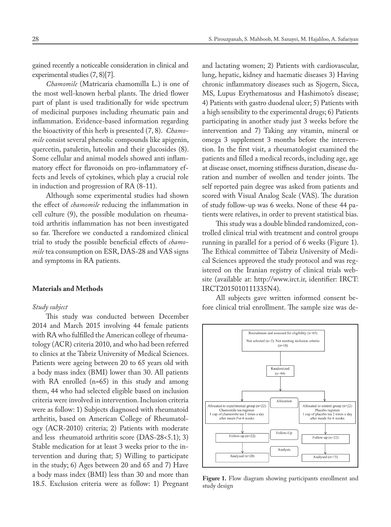gained recently a noticeable consideration in clinical and experimental studies (7, 8)[7].

*Chamomile* (Matricaria chamomilla L.) is one of the most well-known herbal plants. The dried flower part of plant is used traditionally for wide spectrum of medicinal purposes including rheumatic pain and inflammation. Evidence-based information regarding the bioactivity of this herb is presented (7, 8). *Chamomile* consist several phenolic compounds like apigenin, quercetin, patuletin, luteolin and their glucosides (8). Some cellular and animal models showed anti inflammatory effect for flavonoids on pro-inflammatory effects and levels of cytokines, which play a crucial role in induction and progression of RA (8-11).

Although some experimental studies had shown the effect of *chamomile* reducing the inflammation in cell culture (9), the possible modulation on rheumatoid arthritis inflammation has not been investigated so far. Therefore we conducted a randomized clinical trial to study the possible beneficial effects of *chamomile* tea consumption on ESR, DAS-28 and VAS signs and symptoms in RA patients.

## **Materials and Methods**

## *Study subject*

This study was conducted between December 2014 and March 2015 involving 44 female patients with RA who fulfilled the American college of rheumatology (ACR) criteria 2010, and who had been referred to clinics at the Tabriz University of Medical Sciences. Patients were ageing between 20 to 65 years old with a body mass index (BMI) lower than 30. All patients with RA enrolled (n=65) in this study and among them, 44 who had selected eligible based on inclusion criteria were involved in intervention. Inclusion criteria were as follow: 1) Subjects diagnosed with rheumatoid arthritis, based on American College of Rheumatology (ACR-2010) criteria; 2) Patients with moderate and less rheumatoid arthritis score (DAS-28<5.1); 3) Stable medication for at least 3 weeks prior to the intervention and during that; 5) Willing to participate in the study; 6) Ages between 20 and 65 and 7) Have a body mass index (BMI) less than 30 and more than 18.5. Exclusion criteria were as follow: 1) Pregnant and lactating women; 2) Patients with cardiovascular, lung, hepatic, kidney and haematic diseases 3) Having chronic inflammatory diseases such as Sjogern, Sicca, MS, Lupus Erythematosus and Hashimoto's disease; 4) Patients with gastro duodenal ulcer; 5) Patients with a high sensibility to the experimental drugs; 6) Patients participating in another study just 3 weeks before the intervention and 7) Taking any vitamin, mineral or omega 3 supplement 3 months before the intervention. In the first visit, a rheumatologist examined the patients and filled a medical records, including age, age at disease onset, morning stiffness duration, disease duration and number of swollen and tender joints. The self reported pain degree was asked from patients and scored with Visual Analog Scale (VAS). The duration of study follow-up was 6 weeks. None of these 44 patients were relatives, in order to prevent statistical bias.

This study was a double blinded randomized, controlled clinical trial with treatment and control groups running in parallel for a period of 6 weeks (Figure 1). The Ethical committee of Tabriz University of Medical Sciences approved the study protocol and was registered on the Iranian registry of clinical trials website (available at: http://www.irct.ir, identifier: IRCT: IRCT2015010111335N4).

All subjects gave written informed consent before clinical trial enrollment. The sample size was de-



**Figure 1.** Flow diagram showing participants enrollment and study design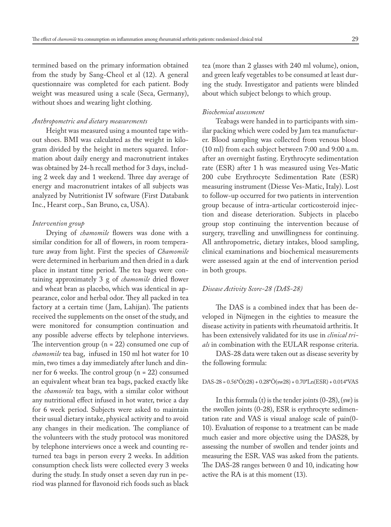termined based on the primary information obtained from the study by Sang-Cheol et al (12). A general questionnaire was completed for each patient. Body weight was measured using a scale (Seca, Germany), without shoes and wearing light clothing.

## *Anthropometric and dietary measurements*

Height was measured using a mounted tape without shoes. BMI was calculated as the weight in kilogram divided by the height in meters squared. Information about daily energy and macronutrient intakes was obtained by 24-h recall method for 3 days, including 2 week day and 1 weekend. Three day average of energy and macronutrient intakes of all subjects was analyzed by Nutritionist IV software (First Databank Inc., Hearst corp., San Bruno, ca, USA).

## *Intervention group*

Drying of *chamomile* flowers was done with a similar condition for all of flowers, in room temperature away from light. First the species of *Chamomile* were determined in herbarium and then dried in a dark place in instant time period. The tea bags were containing approximately 3 g of *chamomile* dried flower and wheat bran as placebo, which was identical in appearance, color and herbal odor. They all packed in tea factory at a certain time (Jam, Lahijan). The patients received the supplements on the onset of the study, and were monitored for consumption continuation and any possible adverse effects by telephone interviews. The intervention group  $(n = 22)$  consumed one cup of *chamomile* tea bag, infused in 150 ml hot water for 10 min, two times a day immediately after lunch and dinner for 6 weeks. The control group (n = 22) consumed an equivalent wheat bran tea bags, packed exactly like the *chamomile* tea bags, with a similar color without any nutritional effect infused in hot water, twice a day for 6 week period. Subjects were asked to maintain their usual dietary intake, physical activity and to avoid any changes in their medication. The compliance of the volunteers with the study protocol was monitored by telephone interviews once a week and counting returned tea bags in person every 2 weeks. In addition consumption check lists were collected every 3 weeks during the study. In study onset a seven day run in period was planned for flavonoid rich foods such as black

tea (more than 2 glasses with 240 ml volume), onion, and green leafy vegetables to be consumed at least during the study. Investigator and patients were blinded about which subject belongs to which group.

### *Biochemical assessment*

Teabags were handed in to participants with similar packing which were coded by Jam tea manufacturer. Blood sampling was collected from venous blood (10 ml) from each subject between 7:00 and 9:00 a.m. after an overnight fasting. Erythrocyte sedimentation rate (ESR) after 1 h was measured using Ves-Matic 200 cube Erythrocyte Sedimentation Rate (ESR) measuring instrument (Diesse Ves-Matic, Italy). Lost to follow-up occurred for two patients in intervention group because of intra-articular corticosteroid injection and disease deterioration. Subjects in placebo group stop continuing the intervention because of surgery, travelling and unwillingness for continuing. All anthropometric, dietary intakes, blood sampling, clinical examinations and biochemical measurements were assessed again at the end of intervention period in both groups.

## *Disease Activity Score-28 (DAS-28)*

The DAS is a combined index that has been developed in Nijmegen in the eighties to measure the disease activity in patients with rheumatoid arthritis. It has been extensively validated for its use in *clinical trials* in combination with the EULAR response criteria.

DAS-28 data were taken out as disease severity by the following formula:

#### $DAS-28 = 0.56 * \ddot{O}(t28) + 0.28 * \ddot{O}(sw28) + 0.70 * \text{Ln}(ESR) + 0.014 * \text{VAS}$

In this formula (t) is the tender joints  $(0-28)$ , (sw) is the swollen joints (0-28), ESR is erythrocyte sedimentation rate and VAS is visual analoge scale of pain(0- 10). Evaluation of response to a treatment can be made much easier and more objective using the DAS28, by assessing the number of swollen and tender joints and measuring the ESR. VAS was asked from the patients. The DAS-28 ranges between 0 and 10, indicating how active the RA is at this moment (13).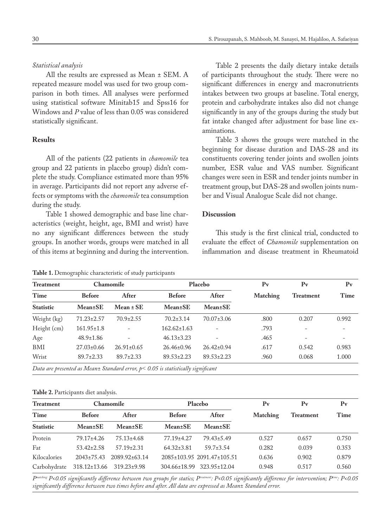## *Statistical analysis*

All the results are expressed as Mean ± SEM. A repeated measure model was used for two group comparison in both times. All analyses were performed using statistical software Minitab15 and Spss16 for Windows and *P* value of less than 0.05 was considered statistically significant.

# **Results**

All of the patients (22 patients in *chamomile* tea group and 22 patients in placebo group) didn't complete the study. Compliance estimated more than 95% in average. Participants did not report any adverse effects or symptoms with the *chamomile* tea consumption during the study.

Table 1 showed demographic and base line characteristics (weight, height, age, BMI and wrist) have no any significant differences between the study groups. In another words, groups were matched in all of this items at beginning and during the intervention.

**Table 1.** Demographic characteristic of study participants

Table 2 presents the daily dietary intake details of participants throughout the study. There were no significant differences in energy and macronutrients intakes between two groups at baseline. Total energy, protein and carbohydrate intakes also did not change significantly in any of the groups during the study but fat intake changed after adjustment for base line examinations.

Table 3 shows the groups were matched in the beginning for disease duration and DAS-28 and its constituents covering tender joints and swollen joints number, ESR value and VAS number. Significant changes were seen in ESR and tender joints number in treatment group, but DAS-28 and swollen joints number and Visual Analogue Scale did not change.

## **Discussion**

This study is the first clinical trial, conducted to evaluate the effect of *Chamomile* supplementation on inflammation and disease treatment in Rheumatoid

| <b>Treatment</b> | <b>Chamomile</b> |                  | Placebo                                                                             |                   | $P_{V}$  | $P_{V}$   | $P_{V}$ |
|------------------|------------------|------------------|-------------------------------------------------------------------------------------|-------------------|----------|-----------|---------|
| Time             | <b>Before</b>    | After            | <b>Before</b>                                                                       | After             | Matching | Treatment | Time    |
| <b>Statistic</b> | <b>Mean</b> ±SE  | $Mean \pm SE$    | <b>Mean</b> ±SE                                                                     | Mean±SE           |          |           |         |
| Weight (kg)      | $71.23 \pm 2.57$ | $70.9 \pm 2.55$  | $70.2 \pm 3.14$                                                                     | $70.07 \pm 3.06$  | .800     | 0.207     | 0.992   |
| Height (cm)      | $161.95 \pm 1.8$ |                  | $162.62 \pm 1.63$                                                                   |                   | .793     |           |         |
| Age              | $48.9 \pm 1.86$  |                  | $46.13 \pm 3.23$                                                                    | $\qquad \qquad -$ | .465     |           |         |
| BMI              | $27.03 \pm 0.66$ | $26.91 \pm 0.65$ | $26.46 \pm 0.96$                                                                    | $26.42 \pm 0.94$  | .617     | 0.542     | 0.983   |
| Wrist            | $89.7 \pm 2.33$  | $89.7 \pm 2.33$  | $89.53 \pm 2.23$                                                                    | $89.53 \pm 2.23$  | .960     | 0.068     | 1.000   |
|                  |                  |                  | Data are presented as Mean± Standard error, $p < 0.05$ is statistically significant |                   |          |           |         |

## **Table 2.** Participants diet analysis.

| <b>Treatment</b> | Chamomile        |                     | Placebo          |                            | $P_{V}$  | $P_{V}$          | $P_{V}$ |
|------------------|------------------|---------------------|------------------|----------------------------|----------|------------------|---------|
| Time             | <b>Before</b>    | After               | <b>Before</b>    | After                      | Matching | <b>Treatment</b> | Time    |
| <b>Statistic</b> | <b>Mean</b> ±SE  | <b>Mean</b> ±SE     | <b>Mean</b> ±SE  | <b>Mean±SE</b>             |          |                  |         |
| Protein          | 79.17±4.26       | $75.13 \pm 4.68$    | 77.19±4.27       | $79.43 \pm 5.49$           | 0.527    | 0.657            | 0.750   |
| Fat              | $53.42 \pm 2.58$ | $57.19 \pm 2.31$    | $64.32 \pm 3.81$ | $59.7 \pm 3.54$            | 0.282    | 0.039            | 0.353   |
| Kilocalories     | $2043 \pm 75.43$ | $2089.92 \pm 63.14$ |                  | 2085±103.95 2091.47±105.51 | 0.636    | 0.902            | 0.879   |
| Carbohydrate     | 318.12±13.66     | 319.23±9.98         |                  | 304.66±18.99 323.95±12.04  | 0.948    | 0.517            | 0.560   |

*Pmatching: P<0.05 significantly difference between two groups for statics; Ptreatment: P<0.05 significantly difference for intervention; Ptime: P<0.05 significantly difference between two times before and after. All data are expressed as Mean± Standard error.*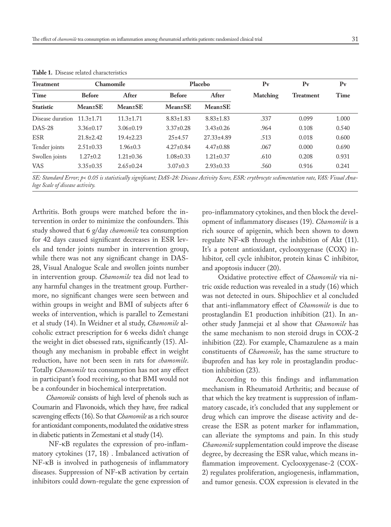| <b>Treatment</b>                        | Chamomile       |                 | Placebo         |                                                               | $P_{V}$  | $P_{V}$                                                                                                 | $P_{V}$ |
|-----------------------------------------|-----------------|-----------------|-----------------|---------------------------------------------------------------|----------|---------------------------------------------------------------------------------------------------------|---------|
| Time                                    | <b>Before</b>   | After           | <b>Before</b>   | After                                                         | Matching | <b>Treatment</b>                                                                                        | Time    |
| <b>Statistic</b>                        | <b>Mean</b> ±SE | <b>Mean</b> ±SE | <b>Mean</b> ±SE | <b>Mean</b> ±SE                                               |          |                                                                                                         |         |
| Disease duration                        | $11.3 \pm 1.71$ | $11.3 \pm 1.71$ | $8.83 \pm 1.83$ | $8.83 \pm 1.83$                                               | .337     | 0.099                                                                                                   | 1.000   |
| $DAS-28$                                | $3.36 \pm 0.17$ | $3.06 \pm 0.19$ | $3.37 \pm 0.28$ | $3.43\pm0.26$                                                 | .964     | 0.108                                                                                                   | 0.540   |
| <b>ESR</b>                              | $21.8 \pm 2.42$ | $19.4 \pm 2.23$ | $25 + 4.57$     | $27.33 \pm 4.89$                                              | .513     | 0.018                                                                                                   | 0.600   |
| Tender joints                           | $2.51 \pm 0.33$ | $1.96 \pm 0.3$  | $4.27 \pm 0.84$ | $4.47\pm0.88$                                                 | .067     | 0.000                                                                                                   | 0.690   |
| Swollen joints                          | $1.27 \pm 0.2$  | $1.21 \pm 0.36$ | $1.08 \pm 0.33$ | $1.21 \pm 0.37$                                               | .610     | 0.208                                                                                                   | 0.931   |
| <b>VAS</b>                              | $3.35 \pm 0.35$ | $2.65 \pm 0.24$ | $3.07 \pm 0.3$  | $2.93 \pm 0.33$                                               | .560     | 0.916                                                                                                   | 0.241   |
| $\alpha$ m $\alpha$ , $\beta$ , $\beta$ |                 |                 |                 | $\mathbf{r} \cap \mathbf{r}$<br>$\alpha$ , $\beta$ , $\alpha$ |          | $\mathcal{I}$ , $\mathcal{I}^*$ , $\mathcal{I}^*$ , $\mathcal{I}^*$ , $\mathcal{I}^*$ , $\mathcal{I}^*$ |         |

**Table 1.** Disease related characteristics

*SE: Standard Error; p< 0.05 is statistically significant; DAS-28: Disease Activity Score, ESR: erythrocyte sedimentation rate, VAS: Visual Analoge Scale of disease activity.*

Arthritis. Both groups were matched before the intervention in order to minimize the confounders. This study showed that 6 g/day *chamomile* tea consumption for 42 days caused significant decreases in ESR levels and tender joints number in intervention group, while there was not any significant change in DAS-28, Visual Analogue Scale and swollen joints number in intervention group. *Chamomile* tea did not lead to any harmful changes in the treatment group. Furthermore, no significant changes were seen between and within groups in weight and BMI of subjects after 6 weeks of intervention, which is parallel to Zemestani et al study (14). In Weidner et al study, *Chamomile* alcoholic extract prescription for 6 weeks didn't change the weight in diet obsessed rats, significantly (15). Although any mechanism in probable effect in weight reduction, have not been seen in rats for *chamomile*. Totally *Chamomile* tea consumption has not any effect in participant's food receiving, so that BMI would not be a confounder in biochemical interpretation.

*Chamomile* consists of high level of phenols such as Coumarin and Flavonoids, which they have, free radical scavenging effects (16). So that *Chamomile* as a rich source for antioxidant components, modulated the oxidative stress in diabetic patients in Zemestani et al study (14).

 NF-κB regulates the expression of pro-inflammatory cytokines (17, 18) . Imbalanced activation of NF-κB is involved in pathogenesis of inflammatory diseases. Suppression of NF-κB activation by certain inhibitors could down-regulate the gene expression of pro-inflammatory cytokines, and then block the development of inflammatory diseases (19). *Chamomile* is a rich source of apigenin, which been shown to down regulate NF-κB through the inhibition of Akt (11). It's a potent antioxidant, cyclooxygenase (COX) inhibitor, cell cycle inhibitor, protein kinas C inhibitor, and apoptosis inducer (20).

 Oxidative protective effect of *Chamomile* via nitric oxide reduction was revealed in a study (16) which was not detected in ours. Shipochliev et al concluded that anti-inflammatory effect of *Chamomile* is due to prostaglandin E1 production inhibition (21). In another study Janmejai et al show that *Chamomile* has the same mechanism to non steroid drugs in COX-2 inhibition (22). For example, Chamazulene as a main constituents of *Chamomile*, has the same structure to ibuprofen and has key role in prostaglandin production inhibition (23).

According to this findings and inflammation mechanism in Rheumatoid Arthritis; and because of that which the key treatment is suppression of inflammatory cascade, it's concluded that any supplement or drug which can improve the disease activity and decrease the ESR as potent marker for inflammation, can alleviate the symptoms and pain. In this study *Chamomile* supplementation could improve the disease degree, by decreasing the ESR value, which means inflammation improvement. Cyclooxygenase-2 (COX-2) regulates proliferation, angiogenesis, inflammation, and tumor genesis. COX expression is elevated in the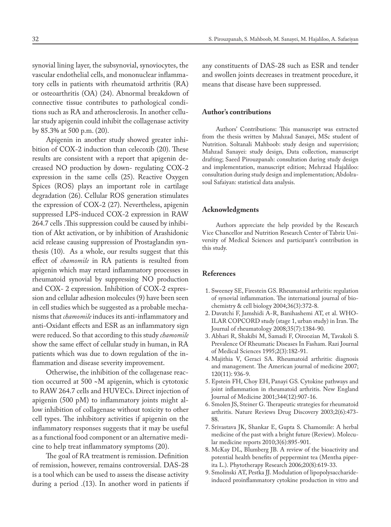synovial lining layer, the subsynovial, synoviocytes, the vascular endothelial cells, and mononuclear inflammatory cells in patients with rheumatoid arthritis (RA) or osteoarthritis (OA) (24). Abnormal breakdown of connective tissue contributes to pathological conditions such as RA and atherosclerosis. In another cellular study apigenin could inhibit the collagenase activity by 85.3% at 500 p.m. (20).

Apigenin in another study showed greater inhibition of COX-2 induction than celecoxib (20). These results are consistent with a report that apigenin decreased NO production by down- regulating COX-2 expression in the same cells (25). Reactive Oxygen Spices (ROS) plays an important role in cartilage degradation (26). Cellular ROS generation stimulates the expression of COX-2 (27). Nevertheless, apigenin suppressed LPS-induced COX-2 expression in RAW 264.7 cells .This suppression could be caused by inhibition of Akt activation, or by inhibition of Arashidonic acid release causing suppression of Prostaglandin synthesis (10). As a whole, our results suggest that this effect of *chamomile* in RA patients is resulted from apigenin which may retard inflammatory processes in rheumatoid synovial by suppressing NO production and COX- 2 expression. Inhibition of COX-2 expression and cellular adhesion molecules (9) have been seen in cell studies which be suggested as a probable mechanisms that *chamomile* induces its anti-inflammatory and anti-Oxidant effects and ESR as an inflammatory sign were reduced. So that according to this study *chamomile* show the same effect of cellular study in human, in RA patients which was due to down regulation of the inflammation and disease severity improvement.

Otherwise, the inhibition of the collagenase reaction occurred at 500 ~M apigenin, which is cytotoxic to RAW 264.7 cells and HUVECs. Direct injection of apigenin (500 pM) to inflammatory joints might allow inhibition of collagenase without toxicity to other cell types. The inhibitory activities if apigenin on the inflammatory responses suggests that it may be useful as a functional food component or an alternative medicine to help treat inflammatory symptoms (20).

The goal of RA treatment is remission. Definition of remission, however, remains controversial. DAS-28 is a tool which can be used to assess the disease activity during a period .(13). In another word in patients if any constituents of DAS-28 such as ESR and tender and swollen joints decreases in treatment procedure, it means that disease have been suppressed.

## **Author's contributions**

Authors' Contributions: This manuscript was extracted from the thesis written by Mahzad Sanayei, MSc student of Nutrition. Soltanali Mahboob: study design and supervision; Mahzad Sanayei: study design, Data collection, manuscript drafting; Saeed Pirouzpanah: consultation during study design and implementation, manuscript edition; Mehrzad Hajaliloo: consultation during study design and implementation; Abdolrasoul Safaiyan: statistical data analysis.

## **Acknowledgments**

Authors appreciate the help provided by the Research Vice Chancellor and Nutrition Research Center of Tabriz University of Medical Sciences and participant's contribution in this study.

## **References**

- 1. Sweeney SE, Firestein GS. Rheumatoid arthritis: regulation of synovial inflammation. The international journal of biochemistry & cell biology 2004;36(3):372-8.
- 2. Davatchi F, Jamshidi A-R, Banihashemi AT, et al. WHO-ILAR COPCORD study (stage 1, urban study) in Iran. The Journal of rheumatology 2008;35(7):1384-90.
- 3. Abhari R, Shakibi M, Samadi F, Oiroozian M, Tavakoli S. Prevalence Of Rheumatic Diseases In Fasham. Razi Journal of Medical Sciences 1995;2(3):182-91.
- 4. Majithia V, Geraci SA. Rheumatoid arthritis: diagnosis and management. The American journal of medicine 2007; 120(11): 936-9.
- 5. Epstein FH, Choy EH, Panayi GS. Cytokine pathways and joint inflammation in rheumatoid arthritis. New England Journal of Medicine 2001;344(12):907-16.
- 6. Smolen JS, Steiner G. Therapeutic strategies for rheumatoid arthritis. Nature Reviews Drug Discovery 2003;2(6):473- 88.
- 7. Srivastava JK, Shankar E, Gupta S. Chamomile: A herbal medicine of the past with a bright future (Review). Molecular medicine reports 2010;3(6):895-901.
- 8. McKay DL, Blumberg JB. A review of the bioactivity and potential health benefits of peppermint tea (Mentha piperita L.). Phytotherapy Research 2006;20(8):619-33.
- 9. Smolinski AT, Pestka JJ. Modulation of lipopolysaccharideinduced proinflammatory cytokine production in vitro and